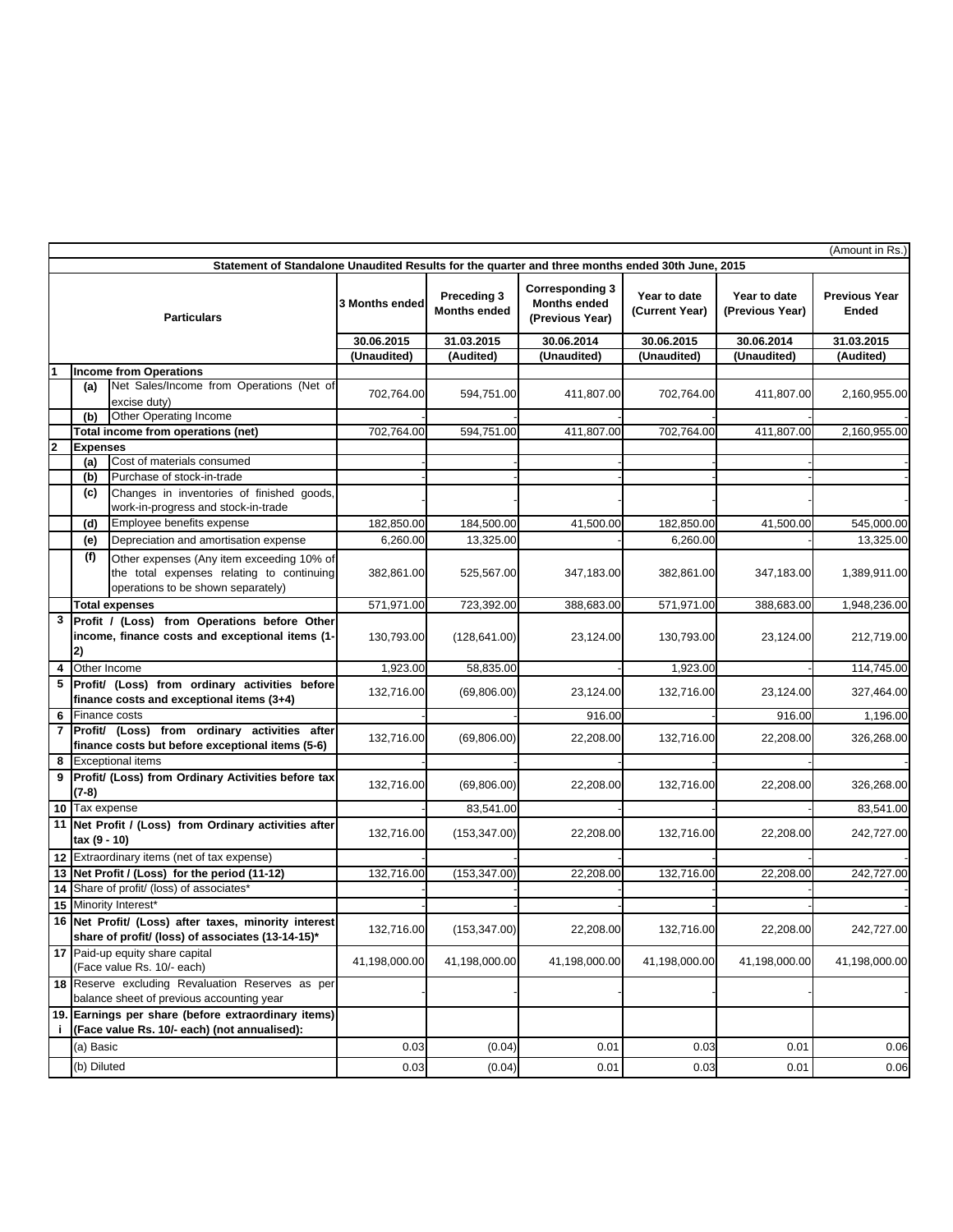| (Amount in Rs.)                                                                                  |                 |                                                                                                                              |                |                                    |                                                                  |                                |                                 |                               |
|--------------------------------------------------------------------------------------------------|-----------------|------------------------------------------------------------------------------------------------------------------------------|----------------|------------------------------------|------------------------------------------------------------------|--------------------------------|---------------------------------|-------------------------------|
| Statement of Standalone Unaudited Results for the quarter and three months ended 30th June, 2015 |                 |                                                                                                                              |                |                                    |                                                                  |                                |                                 |                               |
| <b>Particulars</b>                                                                               |                 |                                                                                                                              | 3 Months ended | Preceding 3<br><b>Months ended</b> | <b>Corresponding 3</b><br><b>Months ended</b><br>(Previous Year) | Year to date<br>(Current Year) | Year to date<br>(Previous Year) | <b>Previous Year</b><br>Ended |
|                                                                                                  |                 |                                                                                                                              | 30.06.2015     | 31.03.2015                         | 30.06.2014                                                       | 30.06.2015                     | 30.06.2014                      | 31.03.2015                    |
|                                                                                                  |                 |                                                                                                                              | (Unaudited)    | (Audited)                          | (Unaudited)                                                      | (Unaudited)                    | (Unaudited)                     | (Audited)                     |
| <b>Income from Operations</b>                                                                    |                 |                                                                                                                              |                |                                    |                                                                  |                                |                                 |                               |
|                                                                                                  | (a)             | Net Sales/Income from Operations (Net of<br>excise duty)                                                                     | 702,764.00     | 594,751.00                         | 411,807.00                                                       | 702,764.00                     | 411,807.00                      | 2,160,955.00                  |
|                                                                                                  | (b)             | Other Operating Income                                                                                                       |                |                                    |                                                                  |                                |                                 |                               |
|                                                                                                  |                 | Total income from operations (net)                                                                                           | 702,764.00     | 594,751.00                         | 411,807.00                                                       | 702,764.00                     | 411,807.00                      | 2,160,955.00                  |
| $\mathbf{2}$                                                                                     | <b>Expenses</b> |                                                                                                                              |                |                                    |                                                                  |                                |                                 |                               |
|                                                                                                  | (a)             | Cost of materials consumed                                                                                                   |                |                                    |                                                                  |                                |                                 |                               |
|                                                                                                  | (b)             | Purchase of stock-in-trade                                                                                                   |                |                                    |                                                                  |                                |                                 |                               |
|                                                                                                  | (c)             | Changes in inventories of finished goods,<br>work-in-progress and stock-in-trade                                             |                |                                    |                                                                  |                                |                                 |                               |
|                                                                                                  | (d)             | Employee benefits expense                                                                                                    | 182,850.00     | 184,500.00                         | 41,500.00                                                        | 182,850.00                     | 41,500.00                       | 545,000.00                    |
|                                                                                                  | (e)             | Depreciation and amortisation expense                                                                                        | 6,260.00       | 13,325.00                          |                                                                  | 6,260.00                       |                                 | 13,325.00                     |
|                                                                                                  | (f)             | Other expenses (Any item exceeding 10% of<br>the total expenses relating to continuing<br>operations to be shown separately) | 382,861.00     | 525,567.00                         | 347,183.00                                                       | 382,861.00                     | 347,183.00                      | 1,389,911.00                  |
|                                                                                                  |                 | <b>Total expenses</b>                                                                                                        | 571,971.00     | 723,392.00                         | 388,683.00                                                       | 571,971.00                     | 388,683.00                      | 1,948,236.00                  |
| 3<br>2)                                                                                          |                 | Profit / (Loss) from Operations before Other<br>income, finance costs and exceptional items (1-                              | 130,793.00     | (128, 641.00)                      | 23.124.00                                                        | 130,793.00                     | 23,124.00                       | 212,719.00                    |
| 4                                                                                                |                 | Other Income                                                                                                                 | 1,923.00       | 58,835.00                          |                                                                  | 1,923.00                       |                                 | 114,745.00                    |
| 5                                                                                                |                 | Profit/ (Loss) from ordinary activities before<br>finance costs and exceptional items (3+4)                                  | 132,716.00     | (69, 806.00)                       | 23,124.00                                                        | 132,716.00                     | 23,124.00                       | 327,464.00                    |
| 6                                                                                                |                 | Finance costs                                                                                                                |                |                                    | 916.00                                                           |                                | 916.00                          | 1,196.00                      |
|                                                                                                  |                 | 7 Profit/ (Loss) from ordinary activities<br>after                                                                           |                |                                    |                                                                  |                                |                                 |                               |
|                                                                                                  |                 | finance costs but before exceptional items (5-6)                                                                             | 132,716.00     | (69,806.00)                        | 22,208.00                                                        | 132,716.00                     | 22,208.00                       | 326,268.00                    |
| 8                                                                                                |                 | <b>Exceptional items</b>                                                                                                     |                |                                    |                                                                  |                                |                                 |                               |
| 9                                                                                                | (7-8)           | Profit/ (Loss) from Ordinary Activities before tax                                                                           | 132,716.00     | (69, 806.00)                       | 22,208.00                                                        | 132,716.00                     | 22,208.00                       | 326,268.00                    |
|                                                                                                  | 10 Tax expense  |                                                                                                                              |                | 83,541.00                          |                                                                  |                                |                                 | 83,541.00                     |
|                                                                                                  | tax (9 - 10)    | 11 Net Profit / (Loss) from Ordinary activities after                                                                        | 132,716.00     | (153, 347.00)                      | 22,208.00                                                        | 132,716.00                     | 22,208.00                       | 242,727.00                    |
|                                                                                                  |                 | 12 Extraordinary items (net of tax expense)                                                                                  |                |                                    |                                                                  |                                |                                 |                               |
|                                                                                                  |                 | 13 Net Profit / (Loss) for the period (11-12)                                                                                | 132,716.00     | (153,347.00)                       | 22,208.00                                                        | 132,716.00                     | 22,208.00                       | 242,727.00                    |
|                                                                                                  |                 | 14 Share of profit/ (loss) of associates*                                                                                    |                |                                    |                                                                  |                                |                                 |                               |
|                                                                                                  |                 | 15 Minority Interest*                                                                                                        |                |                                    |                                                                  |                                |                                 |                               |
|                                                                                                  |                 | 16 Net Profit/ (Loss) after taxes, minority interest<br>share of profit/ (loss) of associates (13-14-15)*                    | 132,716.00     | (153, 347.00)                      | 22,208.00                                                        | 132,716.00                     | 22,208.00                       | 242,727.00                    |
|                                                                                                  |                 | 17 Paid-up equity share capital<br>(Face value Rs. 10/- each)                                                                | 41,198,000.00  | 41,198,000.00                      | 41,198,000.00                                                    | 41,198,000.00                  | 41,198,000.00                   | 41,198,000.00                 |
|                                                                                                  |                 | 18 Reserve excluding Revaluation Reserves as per<br>balance sheet of previous accounting year                                |                |                                    |                                                                  |                                |                                 |                               |
| j.                                                                                               |                 | 19. Earnings per share (before extraordinary items)<br>(Face value Rs. 10/- each) (not annualised):                          |                |                                    |                                                                  |                                |                                 |                               |
|                                                                                                  | (a) Basic       |                                                                                                                              | 0.03           | (0.04)                             | 0.01                                                             | 0.03                           | 0.01                            | 0.06                          |
|                                                                                                  | (b) Diluted     |                                                                                                                              | 0.03           | (0.04)                             | 0.01                                                             | 0.03                           | 0.01                            | 0.06                          |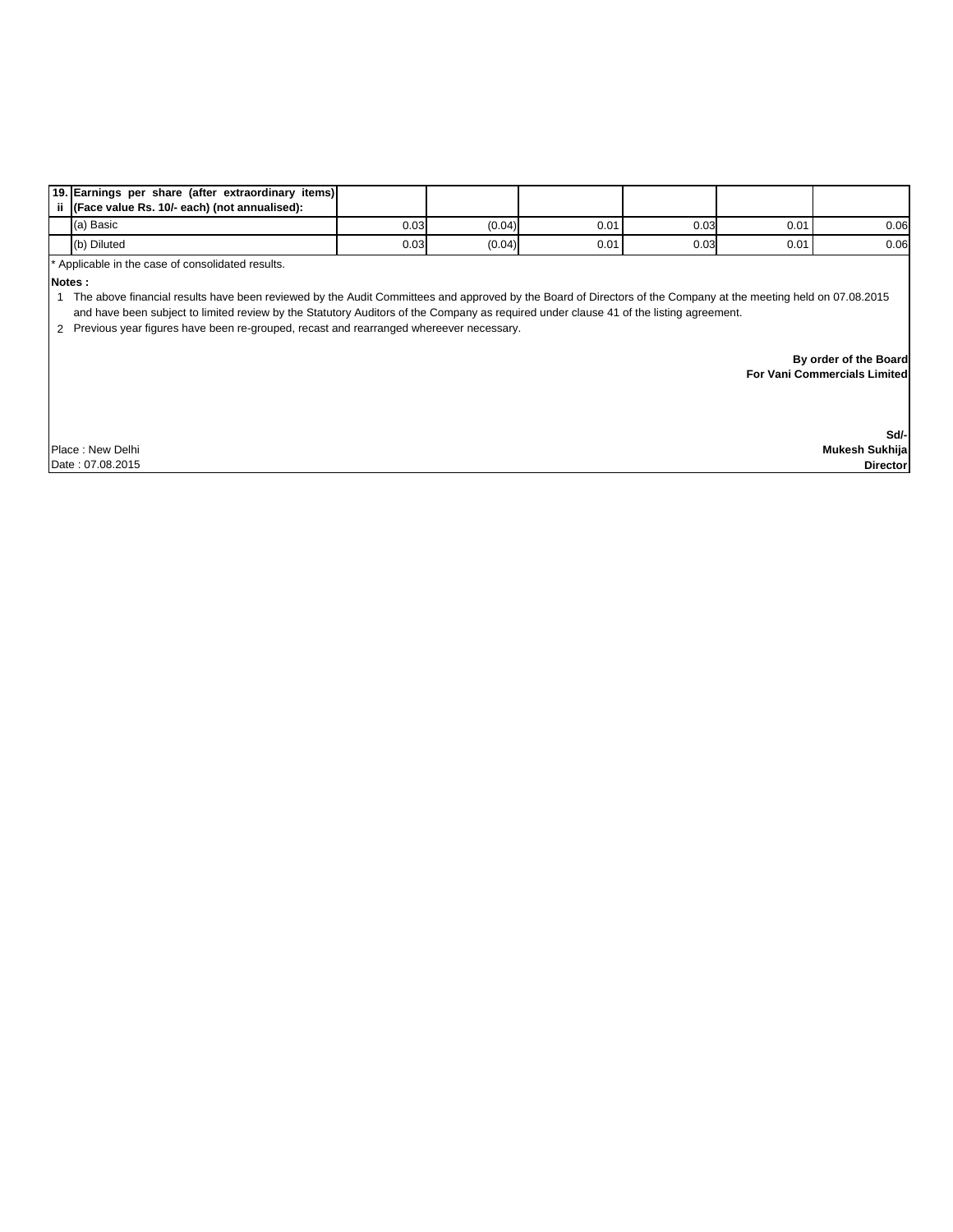| 19. Earnings per share (after extraordinary items) |      |        |      |      |      |      |
|----------------------------------------------------|------|--------|------|------|------|------|
| ii (Face value Rs. 10/- each) (not annualised):    |      |        |      |      |      |      |
| (a) Basic                                          | 0.03 | (0.04) | 0.01 | 0.03 | 0.01 | 0.06 |
| (b) Diluted                                        | 0.03 | (0.04) | 0.01 | 0.03 | 0.01 | 0.06 |

Applicable in the case of consolidated results.

**Notes :**

1 The above financial results have been reviewed by the Audit Committees and approved by the Board of Directors of the Company at the meeting held on 07.08.2015 and have been subject to limited review by the Statutory Auditors of the Company as required under clause 41 of the listing agreement.

2 Previous year figures have been re-grouped, recast and rearranged whereever necessary.

 **By order of the Board For Vani Commercials Limited**

Place : New Delhi Date : 07.08.2015

**Sd/- Mukesh Sukhija**

 **Director**